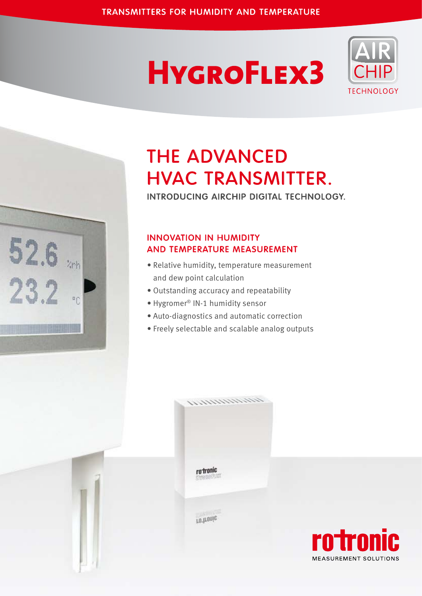# **HYGROFLEX3**



# THE Advanced HVAC TRANSMITTER.

INTRODUCING AIRCHIP DIGITAL TECHNOLOGY.

### Innovation in Humidity and Temperature Measurement

- Relative humidity, temperature measurement and dew point calculation
- • Outstanding accuracy and repeatability
- • Hygromer® IN-1 humidity sensor

 $52.6$ 

 $23.2<sub>o</sub>$ 

- • Auto-diagnostics and automatic correction
- • Freely selectable and scalable analog outputs



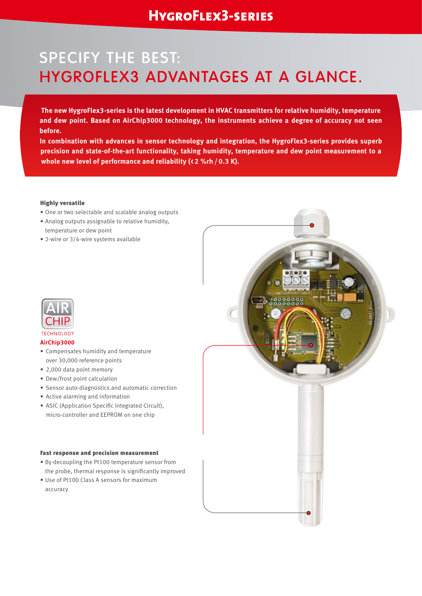# SPECIFY THE BEST: HYGROFLEX3 ADVANTAGES AT A GLANCE.

**The new HygroFlex3-series is the latest development in HVAC transmitters for relative humidity, temperature and dew point. Based on AirChip3000 technology, the instruments achieve a degree of accuracy not seen before.**

**In combination with advances in sensor technology and integration, the HygroFlex3-series provides superb precision and state-of-the-art functionality, taking humidity, temperature and dew point measurement to a whole new level of performance and reliability (< 2 %rh / 0.3 K).**

#### Highly versatile

- One or two selectable and scalable analog outputs
- • Analog outputs assignable to relative humidity, temperature or dew point
- 2-wire or 3/4-wire systems available



### **AirChip3000**

- • Compensates humidity and temperature over 30,000 reference points
- 2,000 data point memory
- Dew/frost point calculation
- Sensor auto-diagnostics and automatic correction
- Active alarming and information
- ASIC (Application Specific Integrated Circuit), micro-controller and EEPROM on one chip

#### Fast response and precision measurement

- • By decoupling the Pt100 temperature sensor from the probe, thermal response is significantly improved
- Use of Pt100 Class A sensors for maximum accuracy

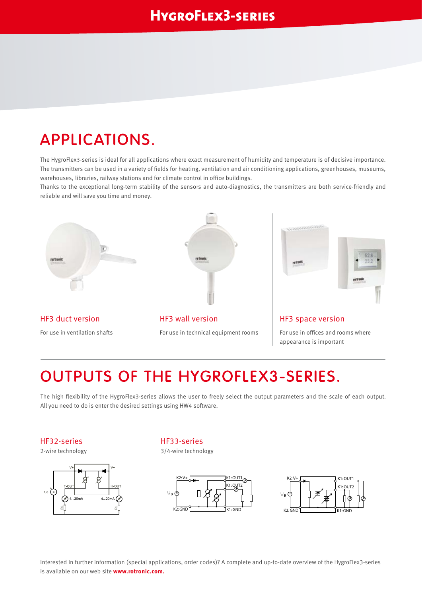## APPLICATIONS.

The HygroFlex3-series is ideal for all applications where exact measurement of humidity and temperature is of decisive importance. The transmitters can be used in a variety of fields for heating, ventilation and air conditioning applications, greenhouses, museums, warehouses, libraries, railway stations and for climate control in office buildings.

Thanks to the exceptional long-term stability of the sensors and auto-diagnostics, the transmitters are both service-friendly and reliable and will save you time and money.



HF3 duct version For use in ventilation shafts



For use in technical equipment rooms



HF3 space version

For use in offices and rooms where appearance is important

> $K1$ <sup>.</sup> OUT  $(1.01T)$

# OUTPUTS OF THE HYGROFLEX3-SERIES.

The high flexibility of the HygroFlex3-series allows the user to freely select the output parameters and the scale of each output. All you need to do is enter the desired settings using HW4 software.

### HF32-series

2-wire technology



### HF33-series

3/4-wire technology